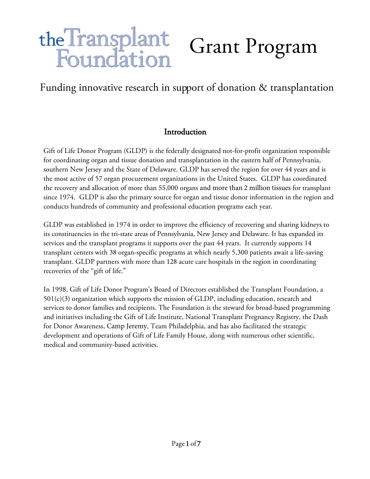# the Transplant<br>Foundation Grant Program

# Funding innovative research in support of donation & transplantation

## Introduction

Gift of Life Donor Program (GLDP) is the federally designated not-for-profit organization responsible for coordinating organ and tissue donation and transplantation in the eastern half of Pennsylvania, southern New Jersey and the State of Delaware. GLDP has served the region for over 44 years and is the most active of 57 organ procurement organizations in the United States. GLDP has coordinated the recovery and allocation of more than 55,000 organs and more than 2 million tissues for transplant since 1974. GLDP is also the primary source for organ and tissue donor information in the region and conducts hundreds of community and professional education programs each year.

GLDP was established in 1974 in order to improve the efficiency of recovering and sharing kidneys to its constituencies in the tri-state areas of Pennsylvania, New Jersey and Delaware. It has expanded its services and the transplant programs it supports over the past 44 years. It currently supports 14 transplant centers with 38 organ-specific programs at which nearly 5,300 patients await a life-saving transplant. GLDP partners with more than 128 acute care hospitals in the region in coordinating recoveries of the "gift of life."

In 1998, Gift of Life Donor Program's Board of Directors established the Transplant Foundation, a  $501(c)(3)$  organization which supports the mission of GLDP, including education, research and services to donor families and recipients. The Foundation is the steward for broad-based programming and initiatives including the Gift of Life Institute, National Transplant Pregnancy Registry, the Dash for Donor Awareness, Camp Jeremy, Team Philadelphia, and has also facilitated the strategic development and operations of Gift of Life Family House, along with numerous other scientific, medical and community-based activities.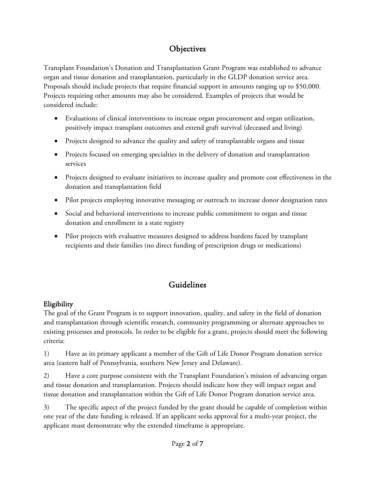## **Objectives**

Transplant Foundation's Donation and Transplantation Grant Program was established to advance organ and tissue donation and transplantation, particularly in the GLDP donation service area. Proposals should include projects that require financial support in amounts ranging up to \$50,000. Projects requiring other amounts may also be considered. Examples of projects that would be considered include:

- Evaluations of clinical interventions to increase organ procurement and organ utilization, positively impact transplant outcomes and extend graft survival (deceased and living)
- Projects designed to advance the quality and safety of transplantable organs and tissue
- Projects focused on emerging specialties in the delivery of donation and transplantation services
- Projects designed to evaluate initiatives to increase quality and promote cost effectiveness in the donation and transplantation field
- Pilot projects employing innovative messaging or outreach to increase donor designation rates
- Social and behavioral interventions to increase public commitment to organ and tissue donation and enrollment in a state registry
- Pilot projects with evaluative measures designed to address burdens faced by transplant recipients and their families (no direct funding of prescription drugs or medications)

# Guidelines

## Eligibility

The goal of the Grant Program is to support innovation, quality, and safety in the field of donation and transplantation through scientific research, community programming or alternate approaches to existing processes and protocols. In order to be eligible for a grant, projects should meet the following criteria:

1) Have as its primary applicant a member of the Gift of Life Donor Program donation service area (eastern half of Pennsylvania, southern New Jersey and Delaware).

2) Have a core purpose consistent with the Transplant Foundation's mission of advancing organ and tissue donation and transplantation. Projects should indicate how they will impact organ and tissue donation and transplantation within the Gift of Life Donor Program donation service area.

3) The specific aspect of the project funded by the grant should be capable of completion within one year of the date funding is released. If an applicant seeks approval for a multi-year project, the applicant must demonstrate why the extended timeframe is appropriate.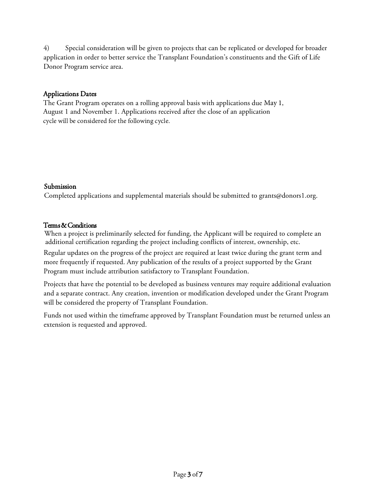4) Special consideration will be given to projects that can be replicated or developed for broader application in order to better service the Transplant Foundation's constituents and the Gift of Life Donor Program service area.

#### Applications Dates

The Grant Program operates on a rolling approval basis with applications due May 1, August 1 and November 1. Applications received after the close of an application cycle will be considered for the following cycle.

#### Submission

Completed applications and supplemental materials should be submitted to grants@donors1.org.

#### Terms & Conditions

When a project is preliminarily selected for funding, the Applicant will be required to complete an additional certification regarding the project including conflicts of interest, ownership, etc.

Regular updates on the progress of the project are required at least twice during the grant term and more frequently if requested. Any publication of the results of a project supported by the Grant Program must include attribution satisfactory to Transplant Foundation.

Projects that have the potential to be developed as business ventures may require additional evaluation and a separate contract. Any creation, invention or modification developed under the Grant Program will be considered the property of Transplant Foundation.

Funds not used within the timeframe approved by Transplant Foundation must be returned unless an extension is requested and approved.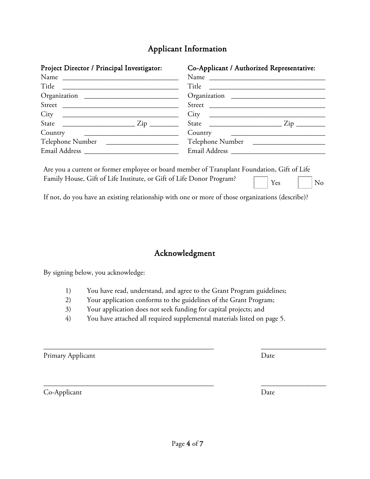## Applicant Information

| Project Director / Principal Investigator:                                                                                                                                                                                                                                                                            | Co-Applicant / Authorized Representative: |  |  |
|-----------------------------------------------------------------------------------------------------------------------------------------------------------------------------------------------------------------------------------------------------------------------------------------------------------------------|-------------------------------------------|--|--|
|                                                                                                                                                                                                                                                                                                                       |                                           |  |  |
|                                                                                                                                                                                                                                                                                                                       |                                           |  |  |
|                                                                                                                                                                                                                                                                                                                       |                                           |  |  |
| $\text{Street} \fbox{--}$                                                                                                                                                                                                                                                                                             | Street                                    |  |  |
| City 2008 2008 2010 2021 2022 2023 2024 2022 2023 2024 2022 2023 2024 2022 2023 2024 2022 2023 2024 2022 2023 20                                                                                                                                                                                                      | $City \quad \qquad \qquad \qquad$         |  |  |
| State $\frac{1}{2}$ $\frac{1}{2}$ $\frac{1}{2}$ $\frac{1}{2}$ $\frac{1}{2}$ $\frac{1}{2}$ $\frac{1}{2}$ $\frac{1}{2}$ $\frac{1}{2}$ $\frac{1}{2}$ $\frac{1}{2}$ $\frac{1}{2}$ $\frac{1}{2}$ $\frac{1}{2}$ $\frac{1}{2}$ $\frac{1}{2}$ $\frac{1}{2}$ $\frac{1}{2}$ $\frac{1}{2}$ $\frac{1}{2}$ $\frac{1}{2}$ $\frac{1$ |                                           |  |  |
|                                                                                                                                                                                                                                                                                                                       |                                           |  |  |
|                                                                                                                                                                                                                                                                                                                       |                                           |  |  |
|                                                                                                                                                                                                                                                                                                                       |                                           |  |  |

Are you a current or former employee or board member of Transplant Foundation, Gift of Life Family House, Gift of Life Institute, or Gift of Life Donor Program?  $Yes \t | No$ 

If not, do you have an existing relationship with one or more of those organizations (describe)?

## Acknowledgment

By signing below, you acknowledge:

- 1) You have read, understand, and agree to the Grant Program guidelines;
- 2) Your application conforms to the guidelines of the Grant Program;
- 3) Your application does not seek funding for capital projects; and
- 4) You have attached all required supplemental materials listed on page 5.

 $\overline{\phantom{a}}$  , and the contract of the contract of the contract of the contract of the contract of the contract of the contract of the contract of the contract of the contract of the contract of the contract of the contrac

 $\overline{\phantom{a}}$  , and the contract of the contract of the contract of the contract of the contract of the contract of the contract of the contract of the contract of the contract of the contract of the contract of the contrac

Primary Applicant Date

Co-Applicant Date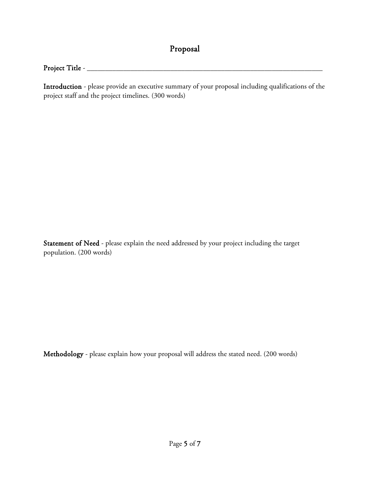# Proposal

### Project Title - \_\_\_\_\_\_\_\_\_\_\_\_\_\_\_\_\_\_\_\_\_\_\_\_\_\_\_\_\_\_\_\_\_\_\_\_\_\_\_\_\_\_\_\_\_\_\_\_\_\_\_\_\_\_\_\_\_\_\_\_\_\_\_\_\_

Introduction - please provide an executive summary of your proposal including qualifications of the project staff and the project timelines. (300 words)

Statement of Need - please explain the need addressed by your project including the target population. (200 words)

Methodology - please explain how your proposal will address the stated need. (200 words)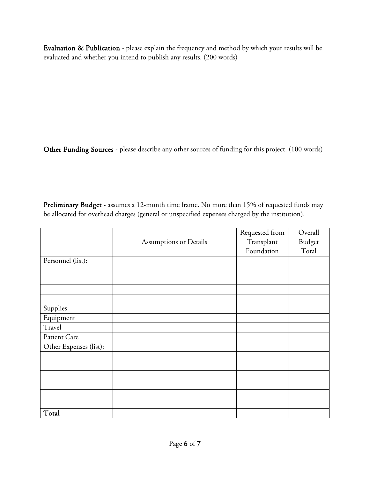Evaluation & Publication - please explain the frequency and method by which your results will be evaluated and whether you intend to publish any results. (200 words)

Other Funding Sources - please describe any other sources of funding for this project. (100 words)

Preliminary Budget - assumes a 12-month time frame. No more than 15% of requested funds may be allocated for overhead charges (general or unspecified expenses charged by the institution).

|                        |                                      | Requested from | Overall |
|------------------------|--------------------------------------|----------------|---------|
|                        | Transplant<br>Assumptions or Details |                | Budget  |
|                        |                                      | Foundation     | Total   |
| Personnel (list):      |                                      |                |         |
|                        |                                      |                |         |
|                        |                                      |                |         |
|                        |                                      |                |         |
|                        |                                      |                |         |
| Supplies               |                                      |                |         |
| Equipment              |                                      |                |         |
| Travel                 |                                      |                |         |
| Patient Care           |                                      |                |         |
| Other Expenses (list): |                                      |                |         |
|                        |                                      |                |         |
|                        |                                      |                |         |
|                        |                                      |                |         |
|                        |                                      |                |         |
|                        |                                      |                |         |
|                        |                                      |                |         |
| Total                  |                                      |                |         |